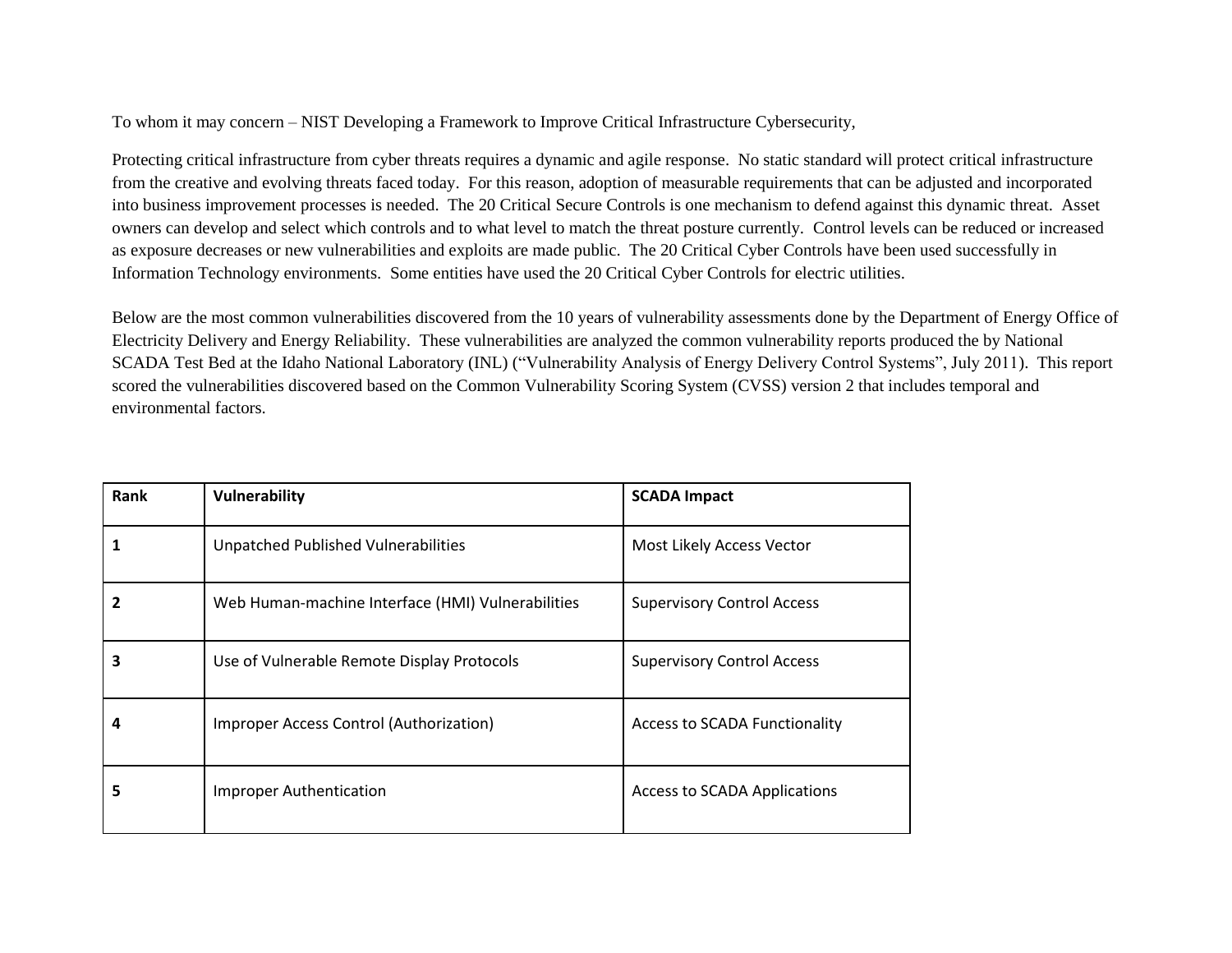To whom it may concern – NIST Developing a Framework to Improve Critical Infrastructure Cybersecurity,

Protecting critical infrastructure from cyber threats requires a dynamic and agile response. No static standard will protect critical infrastructure from the creative and evolving threats faced today. For this reason, adoption of measurable requirements that can be adjusted and incorporated into business improvement processes is needed. The 20 Critical Secure Controls is one mechanism to defend against this dynamic threat. Asset owners can develop and select which controls and to what level to match the threat posture currently. Control levels can be reduced or increased as exposure decreases or new vulnerabilities and exploits are made public. The 20 Critical Cyber Controls have been used successfully in Information Technology environments. Some entities have used the 20 Critical Cyber Controls for electric utilities.

Below are the most common vulnerabilities discovered from the 10 years of vulnerability assessments done by the Department of Energy Office of Electricity Delivery and Energy Reliability. These vulnerabilities are analyzed the common vulnerability reports produced the by National SCADA Test Bed at the Idaho National Laboratory (INL) ("Vulnerability Analysis of Energy Delivery Control Systems", July 2011). This report scored the vulnerabilities discovered based on the Common Vulnerability Scoring System (CVSS) version 2 that includes temporal and environmental factors.

| Rank | Vulnerability                                     | <b>SCADA Impact</b>                  |
|------|---------------------------------------------------|--------------------------------------|
|      | Unpatched Published Vulnerabilities               | Most Likely Access Vector            |
|      | Web Human-machine Interface (HMI) Vulnerabilities | <b>Supervisory Control Access</b>    |
| 3    | Use of Vulnerable Remote Display Protocols        | <b>Supervisory Control Access</b>    |
| 4    | Improper Access Control (Authorization)           | <b>Access to SCADA Functionality</b> |
| 5    | <b>Improper Authentication</b>                    | <b>Access to SCADA Applications</b>  |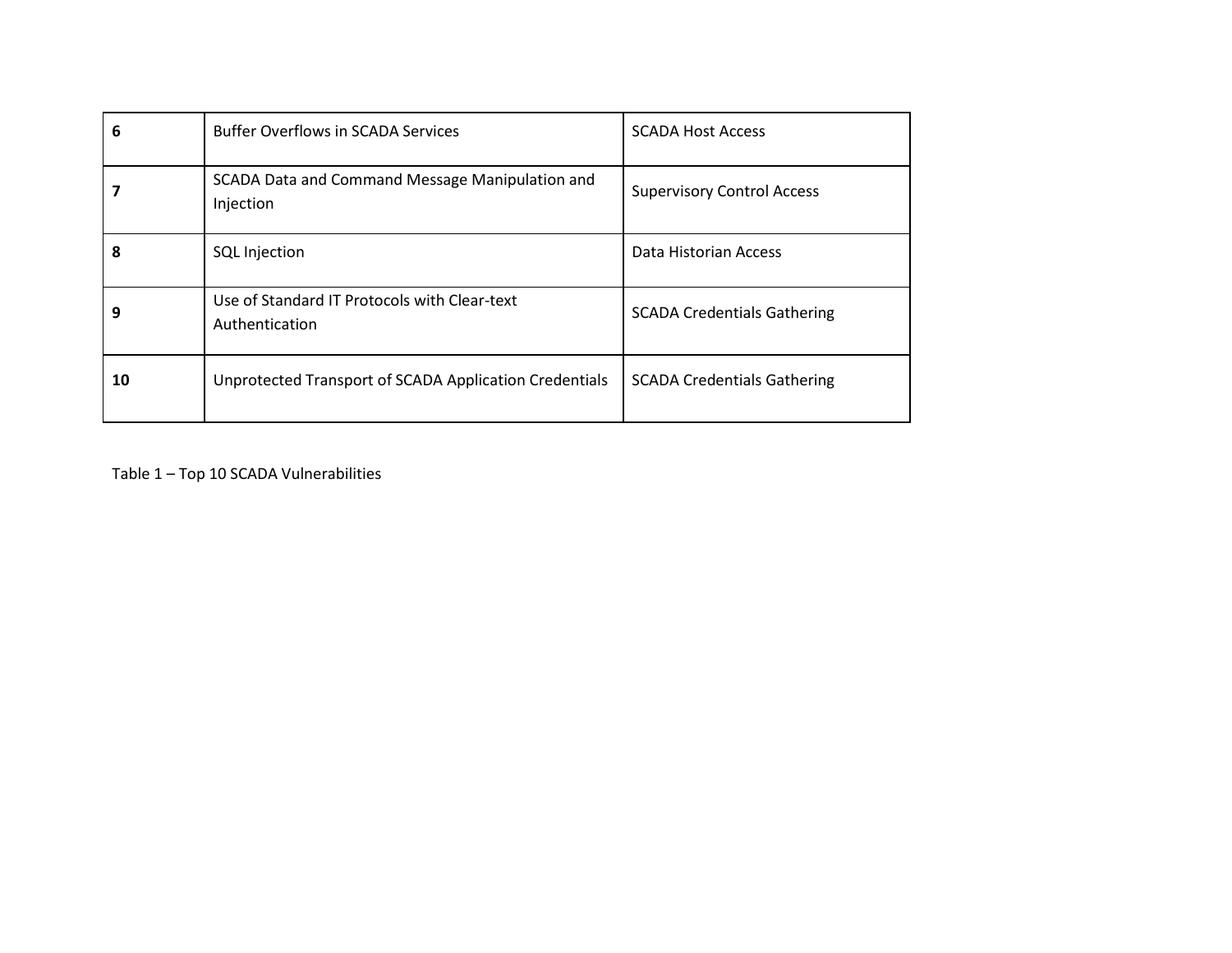| 6  | <b>Buffer Overflows in SCADA Services</b>                      | <b>SCADA Host Access</b>           |
|----|----------------------------------------------------------------|------------------------------------|
|    | SCADA Data and Command Message Manipulation and<br>Injection   | <b>Supervisory Control Access</b>  |
| 8  | <b>SQL Injection</b>                                           | Data Historian Access              |
| 9  | Use of Standard IT Protocols with Clear-text<br>Authentication | <b>SCADA Credentials Gathering</b> |
| 10 | Unprotected Transport of SCADA Application Credentials         | <b>SCADA Credentials Gathering</b> |

Table 1 – Top 10 SCADA Vulnerabilities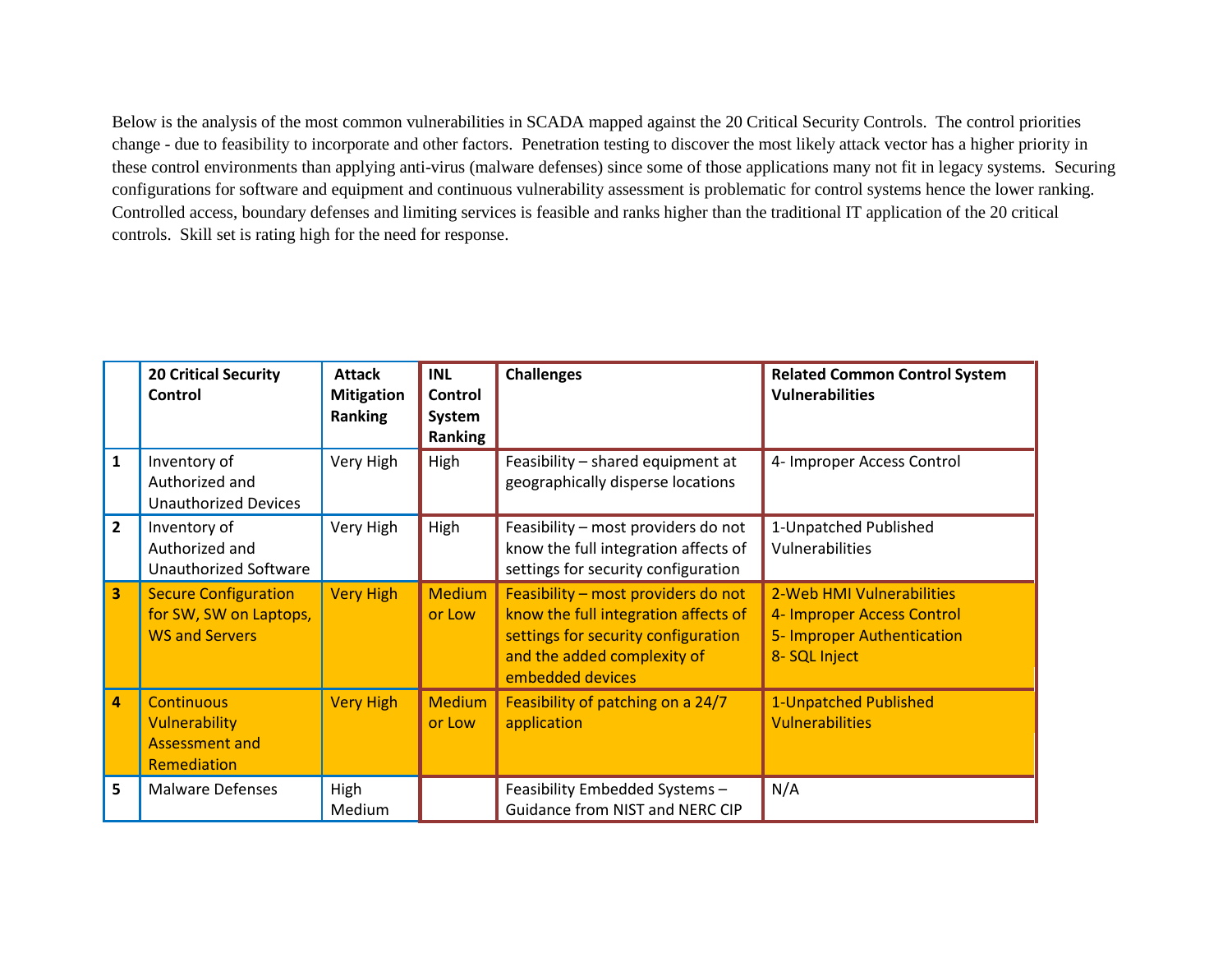Below is the analysis of the most common vulnerabilities in SCADA mapped against the 20 Critical Security Controls. The control priorities change - due to feasibility to incorporate and other factors. Penetration testing to discover the most likely attack vector has a higher priority in these control environments than applying anti-virus (malware defenses) since some of those applications many not fit in legacy systems. Securing configurations for software and equipment and continuous vulnerability assessment is problematic for control systems hence the lower ranking. Controlled access, boundary defenses and limiting services is feasible and ranks higher than the traditional IT application of the 20 critical controls. Skill set is rating high for the need for response.

|                | <b>20 Critical Security</b><br>Control                                            | <b>Attack</b><br><b>Mitigation</b><br><b>Ranking</b> | <b>INL</b><br>Control<br>System<br><b>Ranking</b> | <b>Challenges</b>                                                                                                                                                     | <b>Related Common Control System</b><br><b>Vulnerabilities</b>                                         |
|----------------|-----------------------------------------------------------------------------------|------------------------------------------------------|---------------------------------------------------|-----------------------------------------------------------------------------------------------------------------------------------------------------------------------|--------------------------------------------------------------------------------------------------------|
| $\mathbf{1}$   | Inventory of<br>Authorized and<br><b>Unauthorized Devices</b>                     | Very High                                            | High                                              | Feasibility - shared equipment at<br>geographically disperse locations                                                                                                | 4- Improper Access Control                                                                             |
| $\overline{2}$ | Inventory of<br>Authorized and<br>Unauthorized Software                           | Very High                                            | High                                              | Feasibility - most providers do not<br>know the full integration affects of<br>settings for security configuration                                                    | 1-Unpatched Published<br>Vulnerabilities                                                               |
| 3              | <b>Secure Configuration</b><br>for SW, SW on Laptops,<br><b>WS and Servers</b>    | <b>Very High</b>                                     | <b>Medium</b><br>or Low                           | Feasibility - most providers do not<br>know the full integration affects of<br>settings for security configuration<br>and the added complexity of<br>embedded devices | 2-Web HMI Vulnerabilities<br>4- Improper Access Control<br>5- Improper Authentication<br>8- SQL Inject |
| 4              | <b>Continuous</b><br><b>Vulnerability</b><br><b>Assessment and</b><br>Remediation | <b>Very High</b>                                     | <b>Medium</b><br>or Low                           | Feasibility of patching on a 24/7<br>application                                                                                                                      | 1-Unpatched Published<br><b>Vulnerabilities</b>                                                        |
| 5              | <b>Malware Defenses</b>                                                           | High<br>Medium                                       |                                                   | Feasibility Embedded Systems -<br>Guidance from NIST and NERC CIP                                                                                                     | N/A                                                                                                    |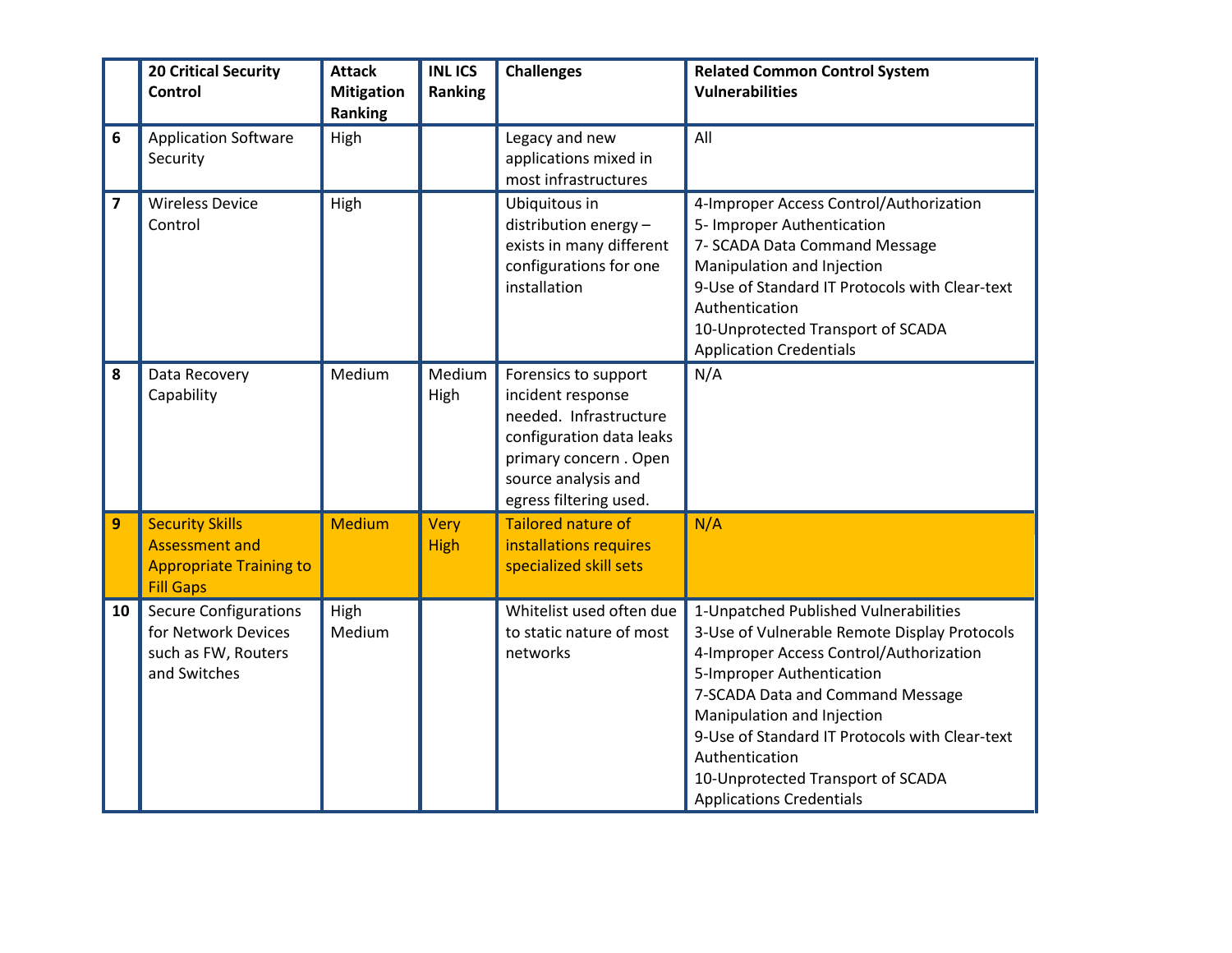|                         | <b>20 Critical Security</b><br><b>Control</b>                                                         | <b>Attack</b><br><b>Mitigation</b><br>Ranking | <b>INLICS</b><br><b>Ranking</b> | <b>Challenges</b>                                                                                                                                                         | <b>Related Common Control System</b><br><b>Vulnerabilities</b>                                                                                                                                                                                                                                                                                                              |
|-------------------------|-------------------------------------------------------------------------------------------------------|-----------------------------------------------|---------------------------------|---------------------------------------------------------------------------------------------------------------------------------------------------------------------------|-----------------------------------------------------------------------------------------------------------------------------------------------------------------------------------------------------------------------------------------------------------------------------------------------------------------------------------------------------------------------------|
| 6                       | <b>Application Software</b><br>Security                                                               | High                                          |                                 | Legacy and new<br>applications mixed in<br>most infrastructures                                                                                                           | All                                                                                                                                                                                                                                                                                                                                                                         |
| $\overline{\mathbf{z}}$ | <b>Wireless Device</b><br>Control                                                                     | High                                          |                                 | Ubiquitous in<br>distribution energy -<br>exists in many different<br>configurations for one<br>installation                                                              | 4-Improper Access Control/Authorization<br>5- Improper Authentication<br>7- SCADA Data Command Message<br>Manipulation and Injection<br>9-Use of Standard IT Protocols with Clear-text<br>Authentication<br>10-Unprotected Transport of SCADA<br><b>Application Credentials</b>                                                                                             |
| 8                       | Data Recovery<br>Capability                                                                           | Medium                                        | Medium<br>High                  | Forensics to support<br>incident response<br>needed. Infrastructure<br>configuration data leaks<br>primary concern. Open<br>source analysis and<br>egress filtering used. | N/A                                                                                                                                                                                                                                                                                                                                                                         |
| 9                       | <b>Security Skills</b><br><b>Assessment and</b><br><b>Appropriate Training to</b><br><b>Fill Gaps</b> | <b>Medium</b>                                 | Very<br><b>High</b>             | <b>Tailored nature of</b><br>installations requires<br>specialized skill sets                                                                                             | N/A                                                                                                                                                                                                                                                                                                                                                                         |
| 10                      | <b>Secure Configurations</b><br>for Network Devices<br>such as FW, Routers<br>and Switches            | High<br>Medium                                |                                 | Whitelist used often due<br>to static nature of most<br>networks                                                                                                          | 1-Unpatched Published Vulnerabilities<br>3-Use of Vulnerable Remote Display Protocols<br>4-Improper Access Control/Authorization<br>5-Improper Authentication<br>7-SCADA Data and Command Message<br>Manipulation and Injection<br>9-Use of Standard IT Protocols with Clear-text<br>Authentication<br>10-Unprotected Transport of SCADA<br><b>Applications Credentials</b> |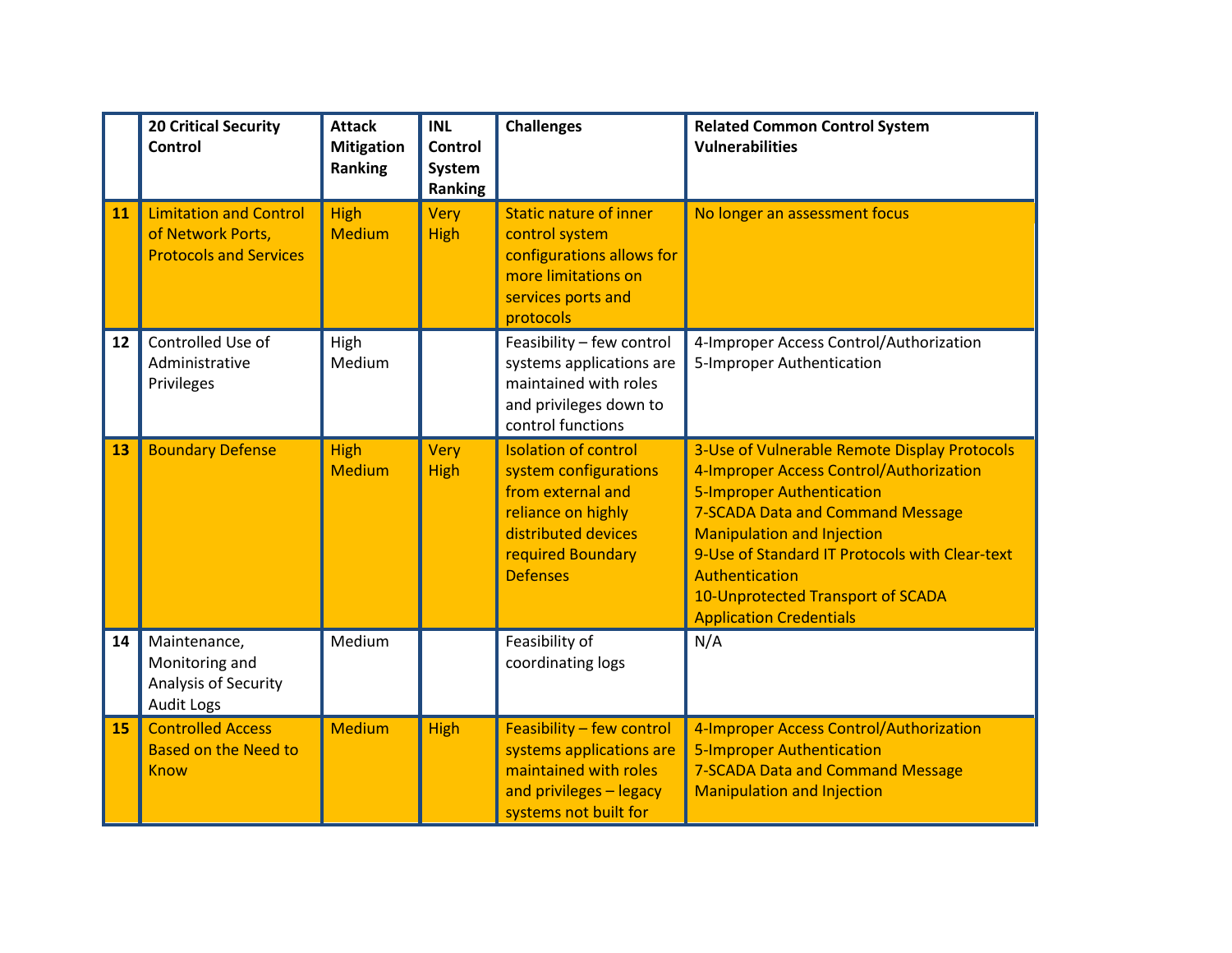|    | <b>20 Critical Security</b><br><b>Control</b>                                       | <b>Attack</b><br><b>Mitigation</b><br>Ranking | <b>INL</b><br>Control<br>System<br>Ranking | <b>Challenges</b>                                                                                                                                              | <b>Related Common Control System</b><br><b>Vulnerabilities</b>                                                                                                                                                                                                                                                                                         |
|----|-------------------------------------------------------------------------------------|-----------------------------------------------|--------------------------------------------|----------------------------------------------------------------------------------------------------------------------------------------------------------------|--------------------------------------------------------------------------------------------------------------------------------------------------------------------------------------------------------------------------------------------------------------------------------------------------------------------------------------------------------|
| 11 | <b>Limitation and Control</b><br>of Network Ports,<br><b>Protocols and Services</b> | <b>High</b><br><b>Medium</b>                  | Very<br><b>High</b>                        | <b>Static nature of inner</b><br>control system<br>configurations allows for<br>more limitations on<br>services ports and<br>protocols                         | No longer an assessment focus                                                                                                                                                                                                                                                                                                                          |
| 12 | Controlled Use of<br>Administrative<br>Privileges                                   | High<br>Medium                                |                                            | Feasibility - few control<br>systems applications are<br>maintained with roles<br>and privileges down to<br>control functions                                  | 4-Improper Access Control/Authorization<br>5-Improper Authentication                                                                                                                                                                                                                                                                                   |
| 13 | <b>Boundary Defense</b>                                                             | <b>High</b><br><b>Medium</b>                  | Very<br><b>High</b>                        | <b>Isolation of control</b><br>system configurations<br>from external and<br>reliance on highly<br>distributed devices<br>required Boundary<br><b>Defenses</b> | 3-Use of Vulnerable Remote Display Protocols<br>4-Improper Access Control/Authorization<br><b>5-Improper Authentication</b><br><b>7-SCADA Data and Command Message</b><br><b>Manipulation and Injection</b><br>9-Use of Standard IT Protocols with Clear-text<br>Authentication<br>10-Unprotected Transport of SCADA<br><b>Application Credentials</b> |
| 14 | Maintenance,<br>Monitoring and<br>Analysis of Security<br><b>Audit Logs</b>         | Medium                                        |                                            | Feasibility of<br>coordinating logs                                                                                                                            | N/A                                                                                                                                                                                                                                                                                                                                                    |
| 15 | <b>Controlled Access</b><br><b>Based on the Need to</b><br><b>Know</b>              | <b>Medium</b>                                 | <b>High</b>                                | Feasibility - few control<br>systems applications are<br>maintained with roles<br>and privileges - legacy<br>systems not built for                             | 4-Improper Access Control/Authorization<br><b>5-Improper Authentication</b><br><b>7-SCADA Data and Command Message</b><br><b>Manipulation and Injection</b>                                                                                                                                                                                            |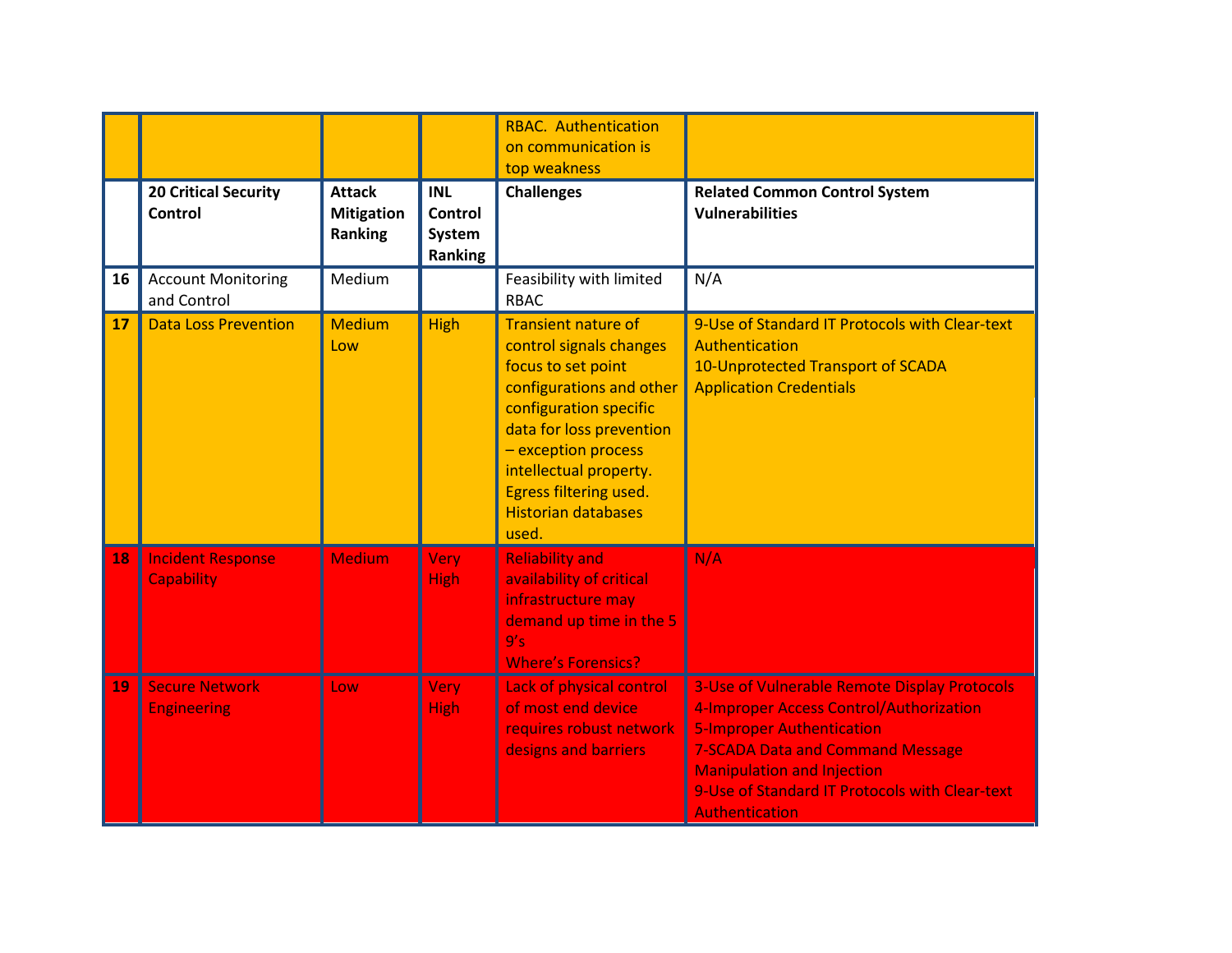|    |                                               |                                                      |                                            | <b>RBAC.</b> Authentication<br>on communication is<br>top weakness                                                                                                                                                                                                              |                                                                                                                                                                                                                                                                                               |
|----|-----------------------------------------------|------------------------------------------------------|--------------------------------------------|---------------------------------------------------------------------------------------------------------------------------------------------------------------------------------------------------------------------------------------------------------------------------------|-----------------------------------------------------------------------------------------------------------------------------------------------------------------------------------------------------------------------------------------------------------------------------------------------|
|    | <b>20 Critical Security</b><br>Control        | <b>Attack</b><br><b>Mitigation</b><br><b>Ranking</b> | <b>INL</b><br>Control<br>System<br>Ranking | <b>Challenges</b>                                                                                                                                                                                                                                                               | <b>Related Common Control System</b><br><b>Vulnerabilities</b>                                                                                                                                                                                                                                |
| 16 | <b>Account Monitoring</b><br>and Control      | Medium                                               |                                            | Feasibility with limited<br><b>RBAC</b>                                                                                                                                                                                                                                         | N/A                                                                                                                                                                                                                                                                                           |
| 17 | <b>Data Loss Prevention</b>                   | <b>Medium</b><br>Low                                 | High                                       | <b>Transient nature of</b><br>control signals changes<br>focus to set point<br>configurations and other<br>configuration specific<br>data for loss prevention<br>- exception process<br>intellectual property.<br>Egress filtering used.<br><b>Historian databases</b><br>used. | 9-Use of Standard IT Protocols with Clear-text<br>Authentication<br>10-Unprotected Transport of SCADA<br><b>Application Credentials</b>                                                                                                                                                       |
| 18 | <b>Incident Response</b><br><b>Capability</b> | <b>Medium</b>                                        | Very<br><b>High</b>                        | <b>Reliability and</b><br>availability of critical<br>infrastructure may<br>demand up time in the 5<br>9's<br><b>Where's Forensics?</b>                                                                                                                                         | N/A                                                                                                                                                                                                                                                                                           |
| 19 | <b>Secure Network</b><br><b>Engineering</b>   | Low                                                  | Very<br><b>High</b>                        | Lack of physical control<br>of most end device<br>requires robust network<br>designs and barriers                                                                                                                                                                               | <b>3-Use of Vulnerable Remote Display Protocols</b><br>4-Improper Access Control/Authorization<br><b>5-Improper Authentication</b><br><b>7-SCADA Data and Command Message</b><br><b>Manipulation and Injection</b><br>9-Use of Standard IT Protocols with Clear-text<br><b>Authentication</b> |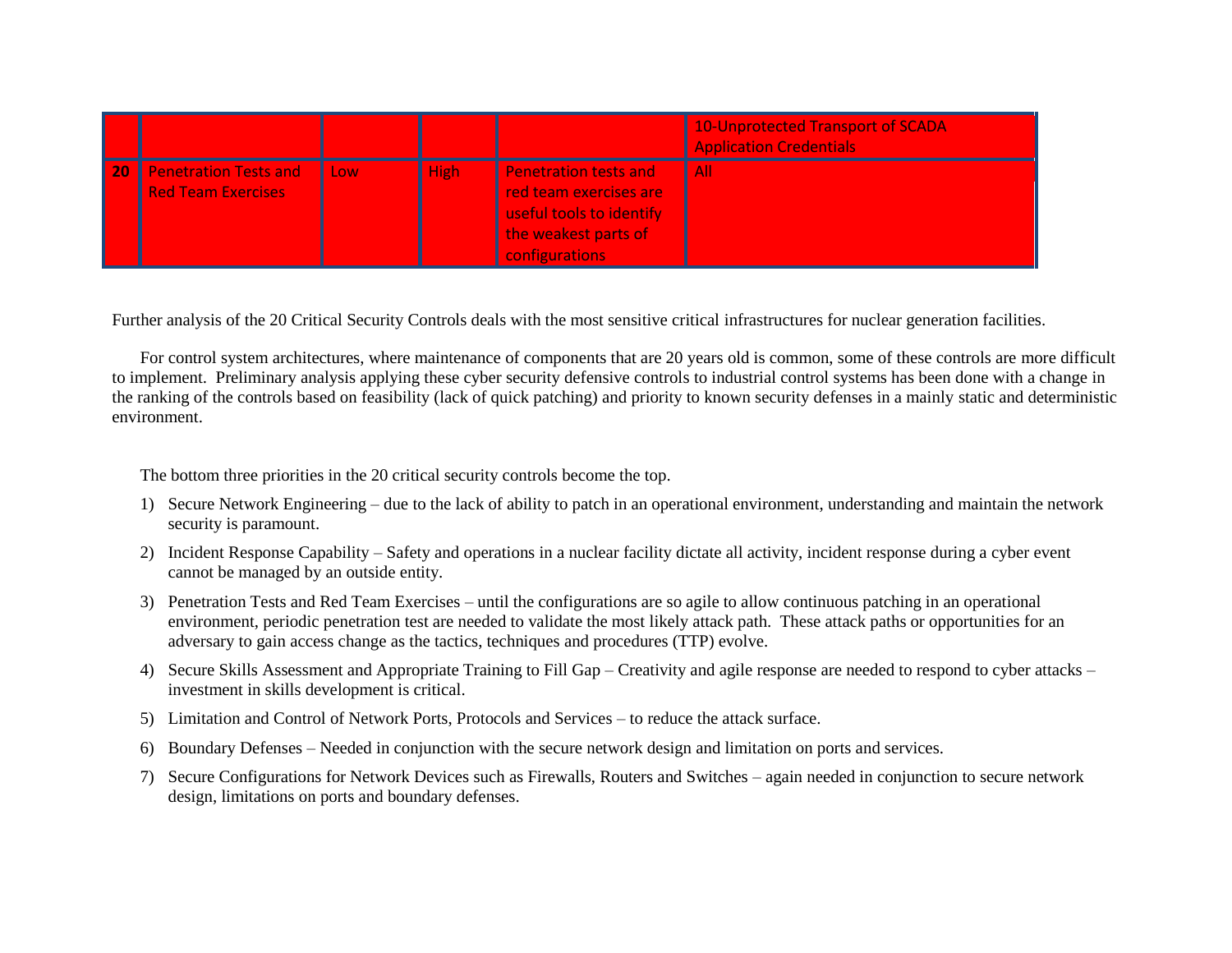|    |                                                           |            |      |                                                                                                                              | 10-Unprotected Transport of SCADA<br><b>Application Credentials</b> |
|----|-----------------------------------------------------------|------------|------|------------------------------------------------------------------------------------------------------------------------------|---------------------------------------------------------------------|
| 20 | <b>Penetration Tests and</b><br><b>Red Team Exercises</b> | <b>Low</b> | High | <b>Penetration tests and</b><br>red team exercises are<br>useful tools to identify<br>the weakest parts of<br>configurations | <b>All</b>                                                          |

Further analysis of the 20 Critical Security Controls deals with the most sensitive critical infrastructures for nuclear generation facilities.

For control system architectures, where maintenance of components that are 20 years old is common, some of these controls are more difficult to implement. Preliminary analysis applying these cyber security defensive controls to industrial control systems has been done with a change in the ranking of the controls based on feasibility (lack of quick patching) and priority to known security defenses in a mainly static and deterministic environment.

The bottom three priorities in the 20 critical security controls become the top.

- 1) Secure Network Engineering due to the lack of ability to patch in an operational environment, understanding and maintain the network security is paramount.
- 2) Incident Response Capability Safety and operations in a nuclear facility dictate all activity, incident response during a cyber event cannot be managed by an outside entity.
- 3) Penetration Tests and Red Team Exercises until the configurations are so agile to allow continuous patching in an operational environment, periodic penetration test are needed to validate the most likely attack path. These attack paths or opportunities for an adversary to gain access change as the tactics, techniques and procedures (TTP) evolve.
- 4) Secure Skills Assessment and Appropriate Training to Fill Gap Creativity and agile response are needed to respond to cyber attacks investment in skills development is critical.
- 5) Limitation and Control of Network Ports, Protocols and Services to reduce the attack surface.
- 6) Boundary Defenses Needed in conjunction with the secure network design and limitation on ports and services.
- 7) Secure Configurations for Network Devices such as Firewalls, Routers and Switches again needed in conjunction to secure network design, limitations on ports and boundary defenses.